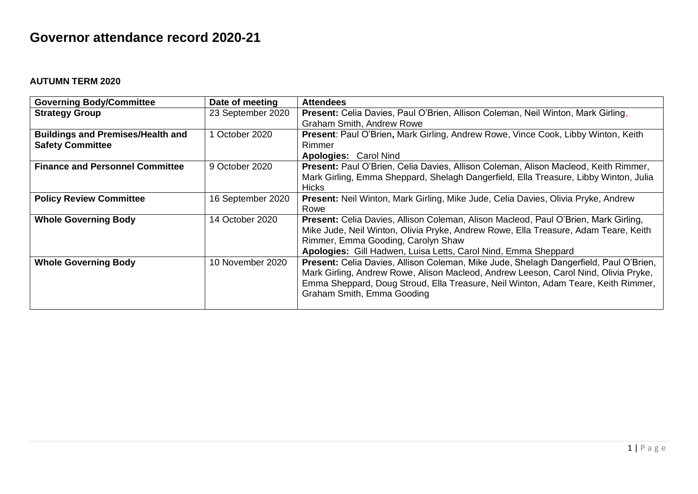## **Governor attendance record 2020-21**

## **AUTUMN TERM 2020**

| <b>Governing Body/Committee</b>          | Date of meeting   | <b>Attendees</b>                                                                         |
|------------------------------------------|-------------------|------------------------------------------------------------------------------------------|
| <b>Strategy Group</b>                    | 23 September 2020 | Present: Celia Davies, Paul O'Brien, Allison Coleman, Neil Winton, Mark Girling,         |
|                                          |                   | <b>Graham Smith, Andrew Rowe</b>                                                         |
| <b>Buildings and Premises/Health and</b> | 1 October 2020    | Present: Paul O'Brien, Mark Girling, Andrew Rowe, Vince Cook, Libby Winton, Keith        |
| <b>Safety Committee</b>                  |                   | Rimmer                                                                                   |
|                                          |                   | <b>Apologies: Carol Nind</b>                                                             |
| <b>Finance and Personnel Committee</b>   | 9 October 2020    | Present: Paul O'Brien, Celia Davies, Allison Coleman, Alison Macleod, Keith Rimmer,      |
|                                          |                   | Mark Girling, Emma Sheppard, Shelagh Dangerfield, Ella Treasure, Libby Winton, Julia     |
|                                          |                   | <b>Hicks</b>                                                                             |
| <b>Policy Review Committee</b>           | 16 September 2020 | <b>Present:</b> Neil Winton, Mark Girling, Mike Jude, Celia Davies, Olivia Pryke, Andrew |
|                                          |                   | Rowe                                                                                     |
| <b>Whole Governing Body</b>              | 14 October 2020   | Present: Celia Davies, Allison Coleman, Alison Macleod, Paul O'Brien, Mark Girling,      |
|                                          |                   | Mike Jude, Neil Winton, Olivia Pryke, Andrew Rowe, Ella Treasure, Adam Teare, Keith      |
|                                          |                   | Rimmer, Emma Gooding, Carolyn Shaw                                                       |
|                                          |                   | Apologies: Gill Hadwen, Luisa Letts, Carol Nind, Emma Sheppard                           |
| <b>Whole Governing Body</b>              | 10 November 2020  | Present: Celia Davies, Allison Coleman, Mike Jude, Shelagh Dangerfield, Paul O'Brien,    |
|                                          |                   | Mark Girling, Andrew Rowe, Alison Macleod, Andrew Leeson, Carol Nind, Olivia Pryke,      |
|                                          |                   | Emma Sheppard, Doug Stroud, Ella Treasure, Neil Winton, Adam Teare, Keith Rimmer,        |
|                                          |                   | Graham Smith, Emma Gooding                                                               |
|                                          |                   |                                                                                          |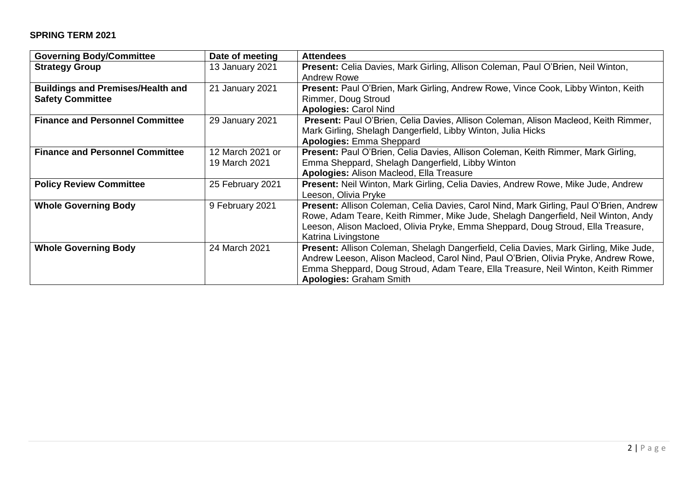## **SPRING TERM 2021**

| <b>Governing Body/Committee</b>          | Date of meeting  | <b>Attendees</b>                                                                       |
|------------------------------------------|------------------|----------------------------------------------------------------------------------------|
| <b>Strategy Group</b>                    | 13 January 2021  | Present: Celia Davies, Mark Girling, Allison Coleman, Paul O'Brien, Neil Winton,       |
|                                          |                  | Andrew Rowe                                                                            |
| <b>Buildings and Premises/Health and</b> | 21 January 2021  | Present: Paul O'Brien, Mark Girling, Andrew Rowe, Vince Cook, Libby Winton, Keith      |
| <b>Safety Committee</b>                  |                  | Rimmer, Doug Stroud                                                                    |
|                                          |                  | <b>Apologies: Carol Nind</b>                                                           |
| <b>Finance and Personnel Committee</b>   | 29 January 2021  | Present: Paul O'Brien, Celia Davies, Allison Coleman, Alison Macleod, Keith Rimmer,    |
|                                          |                  | Mark Girling, Shelagh Dangerfield, Libby Winton, Julia Hicks                           |
|                                          |                  | <b>Apologies: Emma Sheppard</b>                                                        |
| <b>Finance and Personnel Committee</b>   | 12 March 2021 or | Present: Paul O'Brien, Celia Davies, Allison Coleman, Keith Rimmer, Mark Girling,      |
|                                          | 19 March 2021    | Emma Sheppard, Shelagh Dangerfield, Libby Winton                                       |
|                                          |                  | Apologies: Alison Macleod, Ella Treasure                                               |
| <b>Policy Review Committee</b>           | 25 February 2021 | Present: Neil Winton, Mark Girling, Celia Davies, Andrew Rowe, Mike Jude, Andrew       |
|                                          |                  | Leeson, Olivia Pryke                                                                   |
| <b>Whole Governing Body</b>              | 9 February 2021  | Present: Allison Coleman, Celia Davies, Carol Nind, Mark Girling, Paul O'Brien, Andrew |
|                                          |                  | Rowe, Adam Teare, Keith Rimmer, Mike Jude, Shelagh Dangerfield, Neil Winton, Andy      |
|                                          |                  | Leeson, Alison Macloed, Olivia Pryke, Emma Sheppard, Doug Stroud, Ella Treasure,       |
|                                          |                  | Katrina Livingstone                                                                    |
| <b>Whole Governing Body</b>              | 24 March 2021    | Present: Allison Coleman, Shelagh Dangerfield, Celia Davies, Mark Girling, Mike Jude,  |
|                                          |                  | Andrew Leeson, Alison Macleod, Carol Nind, Paul O'Brien, Olivia Pryke, Andrew Rowe,    |
|                                          |                  | Emma Sheppard, Doug Stroud, Adam Teare, Ella Treasure, Neil Winton, Keith Rimmer       |
|                                          |                  | <b>Apologies: Graham Smith</b>                                                         |